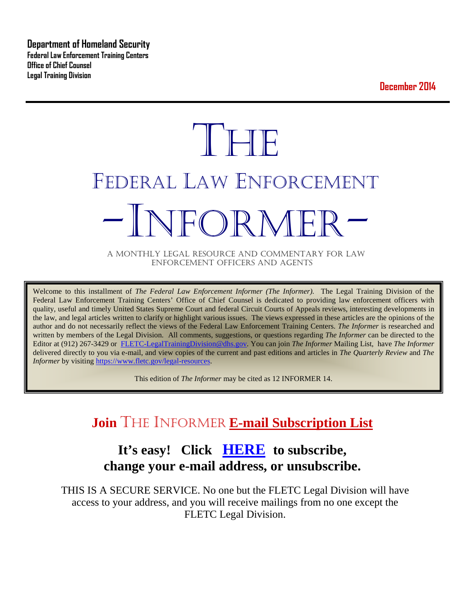**Department of Homeland Security Federal Law Enforcement Training Centers Office of Chief Counsel Legal Training Division** 

**December 2014**

# **THE** FEDERAL LAW ENFORCEMENT -INFORMER- A MONTHLY LEGAL RESOURCE AND COMMENTARY FOR LAW

ENFORCEMENT OFFICERS AND AGENTS

Welcome to this installment of *The Federal Law Enforcement Informer (The Informer).* The Legal Training Division of the Federal Law Enforcement Training Centers' Office of Chief Counsel is dedicated to providing law enforcement officers with quality, useful and timely United States Supreme Court and federal Circuit Courts of Appeals reviews, interesting developments in the law, and legal articles written to clarify or highlight various issues. The views expressed in these articles are the opinions of the author and do not necessarily reflect the views of the Federal Law Enforcement Training Centers. *The Informer* is researched and written by members of the Legal Division. All comments, suggestions, or questions regarding *The Informer* can be directed to the Editor at (912) 267-3429 or [FLETC-LegalTrainingDivision@dhs.gov.](mailto:FLETC-LegalTrainingDivision@dhs.gov) You can join *The Informer* Mailing List, have *The Informer* delivered directly to you via e-mail, and view copies of the current and past editions and articles in *The Quarterly Review* and *The Informer* by visiting [https://www.fletc.gov/legal-resources.](https://www.fletc.gov/legal-resources)

This edition of *The Informer* may be cited as 12 INFORMER 14.

## **Join** THE INFORMER **E-mail Subscription List**

## **It's easy! Click [HERE](http://peach.ease.lsoft.com/scripts/wa.exe?SUBED1=fletclgd&A=1) to subscribe, change your e-mail address, or unsubscribe.**

THIS IS A SECURE SERVICE. No one but the FLETC Legal Division will have access to your address, and you will receive mailings from no one except the FLETC Legal Division.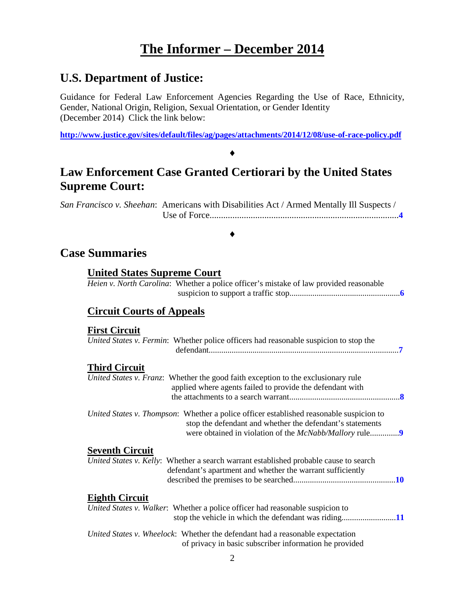## **The Informer – December 2014**

## **U.S. Department of Justice:**

Guidance for Federal Law Enforcement Agencies Regarding the Use of Race, Ethnicity, Gender, National Origin, Religion, Sexual Orientation, or Gender Identity (December 2014) Click the link below:

**<http://www.justice.gov/sites/default/files/ag/pages/attachments/2014/12/08/use-of-race-policy.pdf>**

♦

## **Law Enforcement Case Granted Certiorari by the United States Supreme Court:**

*San Francisco v. Sheehan*: Americans with Disabilities Act / Armed Mentally Ill Suspects / Use of Force...................................................................................**[4](#page-3-0)**

#### ♦

## **Case Summaries**

## **United States Supreme Court**

*Heien v. North Carolina*: Whether a police officer's mistake of law provided reasonable suspicion to support a traffic stop.....................................................**[6](#page-5-0)**

## **[Circuit Courts of Appeals](#page-5-1)**

#### **[First Circuit](#page-6-0)**

| United States v. Fermin: Whether police officers had reasonable suspicion to stop the                                                                                         |
|-------------------------------------------------------------------------------------------------------------------------------------------------------------------------------|
| <b>Third Circuit</b><br>United States v. Franz: Whether the good faith exception to the exclusionary rule<br>applied where agents failed to provide the defendant with        |
| United States v. Thompson: Whether a police officer established reasonable suspicion to<br>stop the defendant and whether the defendant's statements                          |
| <b>Seventh Circuit</b><br>United States v. Kelly: Whether a search warrant established probable cause to search<br>defendant's apartment and whether the warrant sufficiently |
| <b>Eighth Circuit</b><br>United States v. Walker: Whether a police officer had reasonable suspicion to                                                                        |
| United States v. Wheelock: Whether the defendant had a reasonable expectation<br>of privacy in basic subscriber information he provided                                       |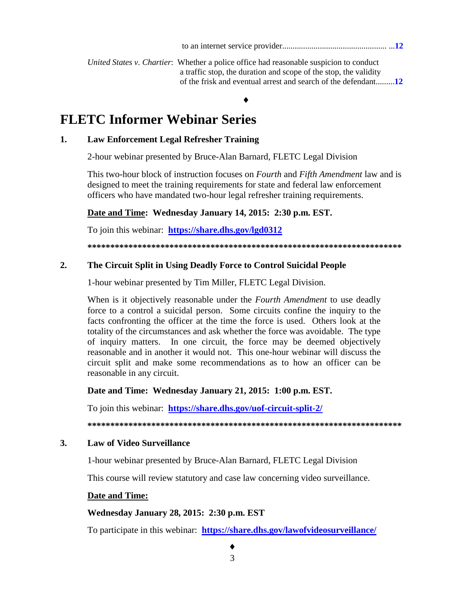*United States v. Chartier*: Whether a police office had reasonable suspicion to conduct a traffic stop, the duration and scope of the stop, the validity of the frisk and eventual arrest and search of the defendant.........**[12](#page-11-1)**

#### ♦

## **FLETC Informer Webinar Series**

#### **1. Law Enforcement Legal Refresher Training**

2-hour webinar presented by Bruce-Alan Barnard, FLETC Legal Division

This two-hour block of instruction focuses on *Fourth* and *Fifth Amendment* law and is designed to meet the training requirements for state and federal law enforcement officers who have mandated two-hour legal refresher training requirements.

#### **Date and Time: Wednesday January 14, 2015: 2:30 p.m. EST.**

To join this webinar: **<https://share.dhs.gov/lgd0312>**

**\*\*\*\*\*\*\*\*\*\*\*\*\*\*\*\*\*\*\*\*\*\*\*\*\*\*\*\*\*\*\*\*\*\*\*\*\*\*\*\*\*\*\*\*\*\*\*\*\*\*\*\*\*\*\*\*\*\*\*\*\*\*\*\*\*\*\*\*\***

#### **2. The Circuit Split in Using Deadly Force to Control Suicidal People**

1-hour webinar presented by Tim Miller, FLETC Legal Division.

When is it objectively reasonable under the *Fourth Amendment* to use deadly force to a control a suicidal person. Some circuits confine the inquiry to the facts confronting the officer at the time the force is used. Others look at the totality of the circumstances and ask whether the force was avoidable. The type of inquiry matters. In one circuit, the force may be deemed objectively reasonable and in another it would not. This one-hour webinar will discuss the circuit split and make some recommendations as to how an officer can be reasonable in any circuit.

#### **Date and Time: Wednesday January 21, 2015: 1:00 p.m. EST.**

To join this webinar: **<https://share.dhs.gov/uof-circuit-split-2/>**

**\*\*\*\*\*\*\*\*\*\*\*\*\*\*\*\*\*\*\*\*\*\*\*\*\*\*\*\*\*\*\*\*\*\*\*\*\*\*\*\*\*\*\*\*\*\*\*\*\*\*\*\*\*\*\*\*\*\*\*\*\*\*\*\*\*\*\*\*\***

#### **3. Law of Video Surveillance**

1-hour webinar presented by Bruce-Alan Barnard, FLETC Legal Division

This course will review statutory and case law concerning video surveillance.

#### **Date and Time:**

#### **Wednesday January 28, 2015: 2:30 p.m. EST**

To participate in this webinar: **<https://share.dhs.gov/lawofvideosurveillance/>**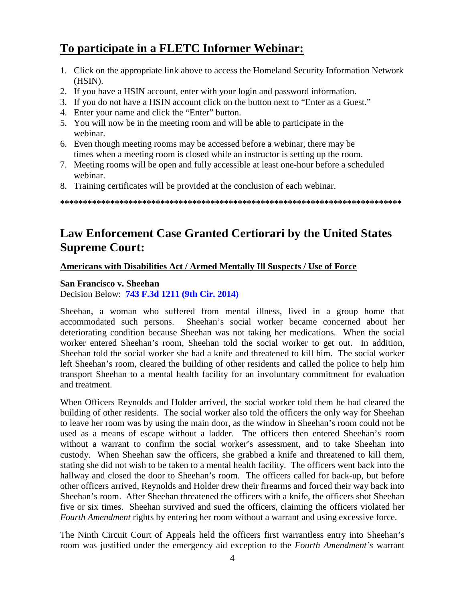## **To participate in a FLETC Informer Webinar:**

- 1. Click on the appropriate link above to access the Homeland Security Information Network (HSIN).
- 2. If you have a HSIN account, enter with your login and password information.
- 3. If you do not have a HSIN account click on the button next to "Enter as a Guest."
- 4. Enter your name and click the "Enter" button.
- 5. You will now be in the meeting room and will be able to participate in the webinar.
- 6. Even though meeting rooms may be accessed before a webinar, there may be times when a meeting room is closed while an instructor is setting up the room.
- 7. Meeting rooms will be open and fully accessible at least one-hour before a scheduled webinar.
- 8. Training certificates will be provided at the conclusion of each webinar.

**\*\*\*\*\*\*\*\*\*\*\*\*\*\*\*\*\*\*\*\*\*\*\*\*\*\*\*\*\*\*\*\*\*\*\*\*\*\*\*\*\*\*\*\*\*\*\*\*\*\*\*\*\*\*\*\*\*\*\*\*\*\*\*\*\*\*\*\*\*\*\*\*\*\*\***

## **Law Enforcement Case Granted Certiorari by the United States Supreme Court:**

## **Americans with Disabilities Act / Armed Mentally Ill Suspects / Use of Force**

## <span id="page-3-0"></span>**San Francisco v. Sheehan**

Decision Below: **[743 F.3d 1211 \(9th Cir. 2014\)](http://cdn.ca9.uscourts.gov/datastore/opinions/2014/02/21/11-16401.pdf)**

Sheehan, a woman who suffered from mental illness, lived in a group home that accommodated such persons. Sheehan's social worker became concerned about her deteriorating condition because Sheehan was not taking her medications. When the social worker entered Sheehan's room, Sheehan told the social worker to get out. In addition, Sheehan told the social worker she had a knife and threatened to kill him. The social worker left Sheehan's room, cleared the building of other residents and called the police to help him transport Sheehan to a mental health facility for an involuntary commitment for evaluation and treatment.

When Officers Reynolds and Holder arrived, the social worker told them he had cleared the building of other residents. The social worker also told the officers the only way for Sheehan to leave her room was by using the main door, as the window in Sheehan's room could not be used as a means of escape without a ladder. The officers then entered Sheehan's room without a warrant to confirm the social worker's assessment, and to take Sheehan into custody. When Sheehan saw the officers, she grabbed a knife and threatened to kill them, stating she did not wish to be taken to a mental health facility. The officers went back into the hallway and closed the door to Sheehan's room. The officers called for back-up, but before other officers arrived, Reynolds and Holder drew their firearms and forced their way back into Sheehan's room. After Sheehan threatened the officers with a knife, the officers shot Sheehan five or six times. Sheehan survived and sued the officers, claiming the officers violated her *Fourth Amendment* rights by entering her room without a warrant and using excessive force.

The Ninth Circuit Court of Appeals held the officers first warrantless entry into Sheehan's room was justified under the emergency aid exception to the *Fourth Amendment's* warrant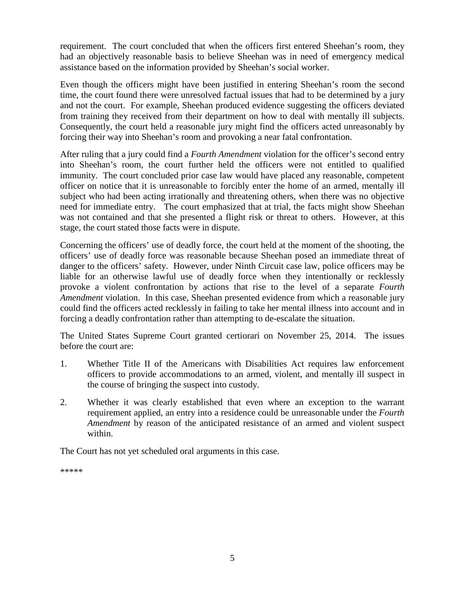requirement. The court concluded that when the officers first entered Sheehan's room, they had an objectively reasonable basis to believe Sheehan was in need of emergency medical assistance based on the information provided by Sheehan's social worker.

Even though the officers might have been justified in entering Sheehan's room the second time, the court found there were unresolved factual issues that had to be determined by a jury and not the court. For example, Sheehan produced evidence suggesting the officers deviated from training they received from their department on how to deal with mentally ill subjects. Consequently, the court held a reasonable jury might find the officers acted unreasonably by forcing their way into Sheehan's room and provoking a near fatal confrontation.

After ruling that a jury could find a *Fourth Amendment* violation for the officer's second entry into Sheehan's room, the court further held the officers were not entitled to qualified immunity. The court concluded prior case law would have placed any reasonable, competent officer on notice that it is unreasonable to forcibly enter the home of an armed, mentally ill subject who had been acting irrationally and threatening others, when there was no objective need for immediate entry. The court emphasized that at trial, the facts might show Sheehan was not contained and that she presented a flight risk or threat to others. However, at this stage, the court stated those facts were in dispute.

Concerning the officers' use of deadly force, the court held at the moment of the shooting, the officers' use of deadly force was reasonable because Sheehan posed an immediate threat of danger to the officers' safety. However, under Ninth Circuit case law, police officers may be liable for an otherwise lawful use of deadly force when they intentionally or recklessly provoke a violent confrontation by actions that rise to the level of a separate *Fourth Amendment* violation. In this case, Sheehan presented evidence from which a reasonable jury could find the officers acted recklessly in failing to take her mental illness into account and in forcing a deadly confrontation rather than attempting to de-escalate the situation.

The United States Supreme Court granted certiorari on November 25, 2014. The issues before the court are:

- 1. Whether Title II of the Americans with Disabilities Act requires law enforcement officers to provide accommodations to an armed, violent, and mentally ill suspect in the course of bringing the suspect into custody.
- 2. Whether it was clearly established that even where an exception to the warrant requirement applied, an entry into a residence could be unreasonable under the *Fourth Amendment* by reason of the anticipated resistance of an armed and violent suspect within.

The Court has not yet scheduled oral arguments in this case.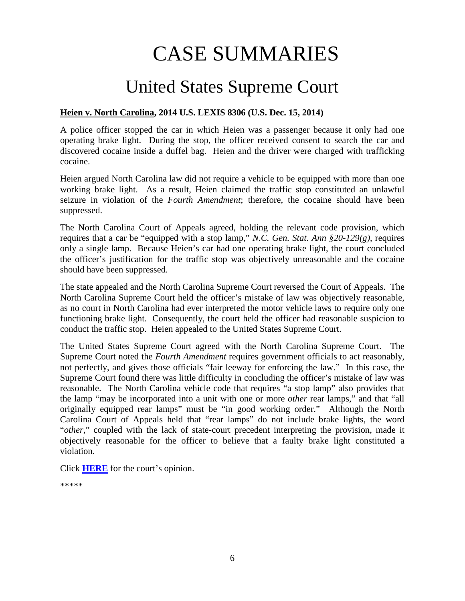# CASE SUMMARIES

# United States Supreme Court

## <span id="page-5-1"></span><span id="page-5-0"></span>**Heien v. North Carolina, 2014 U.S. LEXIS 8306 (U.S. Dec. 15, 2014)**

A police officer stopped the car in which Heien was a passenger because it only had one operating brake light. During the stop, the officer received consent to search the car and discovered cocaine inside a duffel bag. Heien and the driver were charged with trafficking cocaine.

Heien argued North Carolina law did not require a vehicle to be equipped with more than one working brake light. As a result, Heien claimed the traffic stop constituted an unlawful seizure in violation of the *Fourth Amendment*; therefore, the cocaine should have been suppressed.

The North Carolina Court of Appeals agreed, holding the relevant code provision, which requires that a car be "equipped with a stop lamp," *N.C. Gen. Stat. Ann §20-129(g)*, requires only a single lamp. Because Heien's car had one operating brake light, the court concluded the officer's justification for the traffic stop was objectively unreasonable and the cocaine should have been suppressed.

The state appealed and the North Carolina Supreme Court reversed the Court of Appeals. The North Carolina Supreme Court held the officer's mistake of law was objectively reasonable, as no court in North Carolina had ever interpreted the motor vehicle laws to require only one functioning brake light. Consequently, the court held the officer had reasonable suspicion to conduct the traffic stop. Heien appealed to the United States Supreme Court.

The United States Supreme Court agreed with the North Carolina Supreme Court. The Supreme Court noted the *Fourth Amendment* requires government officials to act reasonably, not perfectly, and gives those officials "fair leeway for enforcing the law." In this case, the Supreme Court found there was little difficulty in concluding the officer's mistake of law was reasonable. The North Carolina vehicle code that requires "a stop lamp" also provides that the lamp "may be incorporated into a unit with one or more *other* rear lamps," and that "all originally equipped rear lamps" must be "in good working order." Although the North Carolina Court of Appeals held that "rear lamps" do not include brake lights, the word "*other*," coupled with the lack of state-court precedent interpreting the provision, made it objectively reasonable for the officer to believe that a faulty brake light constituted a violation.

Click **[HERE](http://www.supremecourt.gov/opinions/14pdf/13-604_ec8f.pdf)** for the court's opinion.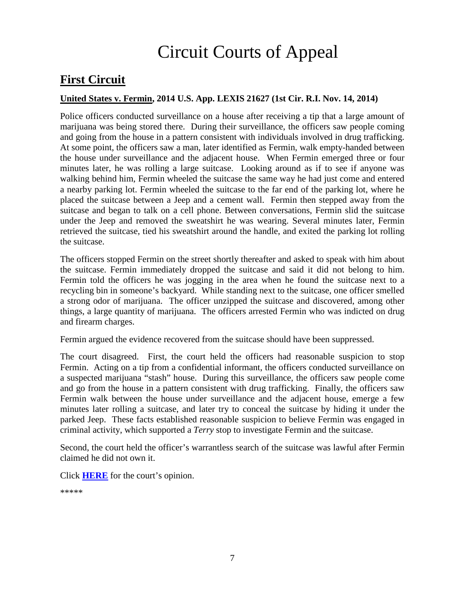# Circuit Courts of Appeal

## <span id="page-6-0"></span>**First Circuit**

## <span id="page-6-1"></span>**United States v. Fermin, 2014 U.S. App. LEXIS 21627 (1st Cir. R.I. Nov. 14, 2014)**

Police officers conducted surveillance on a house after receiving a tip that a large amount of marijuana was being stored there. During their surveillance, the officers saw people coming and going from the house in a pattern consistent with individuals involved in drug trafficking. At some point, the officers saw a man, later identified as Fermin, walk empty-handed between the house under surveillance and the adjacent house. When Fermin emerged three or four minutes later, he was rolling a large suitcase. Looking around as if to see if anyone was walking behind him, Fermin wheeled the suitcase the same way he had just come and entered a nearby parking lot. Fermin wheeled the suitcase to the far end of the parking lot, where he placed the suitcase between a Jeep and a cement wall. Fermin then stepped away from the suitcase and began to talk on a cell phone. Between conversations, Fermin slid the suitcase under the Jeep and removed the sweatshirt he was wearing. Several minutes later, Fermin retrieved the suitcase, tied his sweatshirt around the handle, and exited the parking lot rolling the suitcase.

The officers stopped Fermin on the street shortly thereafter and asked to speak with him about the suitcase. Fermin immediately dropped the suitcase and said it did not belong to him. Fermin told the officers he was jogging in the area when he found the suitcase next to a recycling bin in someone's backyard. While standing next to the suitcase, one officer smelled a strong odor of marijuana. The officer unzipped the suitcase and discovered, among other things, a large quantity of marijuana. The officers arrested Fermin who was indicted on drug and firearm charges.

Fermin argued the evidence recovered from the suitcase should have been suppressed.

The court disagreed. First, the court held the officers had reasonable suspicion to stop Fermin. Acting on a tip from a confidential informant, the officers conducted surveillance on a suspected marijuana "stash" house. During this surveillance, the officers saw people come and go from the house in a pattern consistent with drug trafficking. Finally, the officers saw Fermin walk between the house under surveillance and the adjacent house, emerge a few minutes later rolling a suitcase, and later try to conceal the suitcase by hiding it under the parked Jeep. These facts established reasonable suspicion to believe Fermin was engaged in criminal activity, which supported a *Terry* stop to investigate Fermin and the suitcase.

Second, the court held the officer's warrantless search of the suitcase was lawful after Fermin claimed he did not own it.

Click **[HERE](http://cases.justia.com/federal/appellate-courts/ca1/13-1108/13-1108-2014-11-14.pdf?ts=1416006021)** for the court's opinion.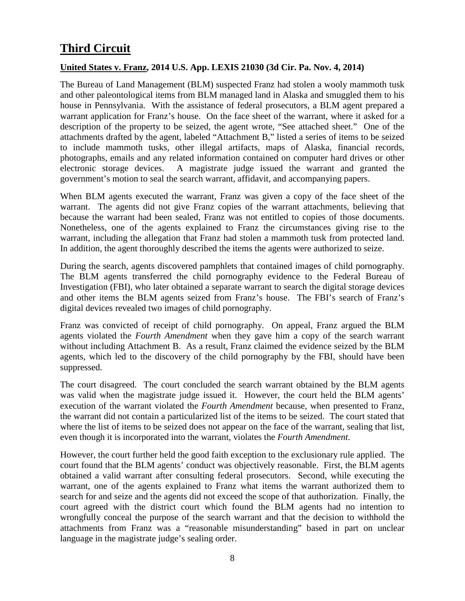## <span id="page-7-0"></span>**Third Circuit**

## <span id="page-7-1"></span>**United States v. Franz, 2014 U.S. App. LEXIS 21030 (3d Cir. Pa. Nov. 4, 2014)**

The Bureau of Land Management (BLM) suspected Franz had stolen a wooly mammoth tusk and other paleontological items from BLM managed land in Alaska and smuggled them to his house in Pennsylvania. With the assistance of federal prosecutors, a BLM agent prepared a warrant application for Franz's house. On the face sheet of the warrant, where it asked for a description of the property to be seized, the agent wrote, "See attached sheet." One of the attachments drafted by the agent, labeled "Attachment B," listed a series of items to be seized to include mammoth tusks, other illegal artifacts, maps of Alaska, financial records, photographs, emails and any related information contained on computer hard drives or other electronic storage devices. A magistrate judge issued the warrant and granted the government's motion to seal the search warrant, affidavit, and accompanying papers.

When BLM agents executed the warrant, Franz was given a copy of the face sheet of the warrant. The agents did not give Franz copies of the warrant attachments, believing that because the warrant had been sealed, Franz was not entitled to copies of those documents. Nonetheless, one of the agents explained to Franz the circumstances giving rise to the warrant, including the allegation that Franz had stolen a mammoth tusk from protected land. In addition, the agent thoroughly described the items the agents were authorized to seize.

During the search, agents discovered pamphlets that contained images of child pornography. The BLM agents transferred the child pornography evidence to the Federal Bureau of Investigation (FBI), who later obtained a separate warrant to search the digital storage devices and other items the BLM agents seized from Franz's house. The FBI's search of Franz's digital devices revealed two images of child pornography.

Franz was convicted of receipt of child pornography. On appeal, Franz argued the BLM agents violated the *Fourth Amendment* when they gave him a copy of the search warrant without including Attachment B. As a result, Franz claimed the evidence seized by the BLM agents, which led to the discovery of the child pornography by the FBI, should have been suppressed.

The court disagreed. The court concluded the search warrant obtained by the BLM agents was valid when the magistrate judge issued it. However, the court held the BLM agents' execution of the warrant violated the *Fourth Amendment* because, when presented to Franz, the warrant did not contain a particularized list of the items to be seized. The court stated that where the list of items to be seized does not appear on the face of the warrant, sealing that list, even though it is incorporated into the warrant, violates the *Fourth Amendment*.

However, the court further held the good faith exception to the exclusionary rule applied. The court found that the BLM agents' conduct was objectively reasonable. First, the BLM agents obtained a valid warrant after consulting federal prosecutors. Second, while executing the warrant, one of the agents explained to Franz what items the warrant authorized them to search for and seize and the agents did not exceed the scope of that authorization. Finally, the court agreed with the district court which found the BLM agents had no intention to wrongfully conceal the purpose of the search warrant and that the decision to withhold the attachments from Franz was a "reasonable misunderstanding" based in part on unclear language in the magistrate judge's sealing order.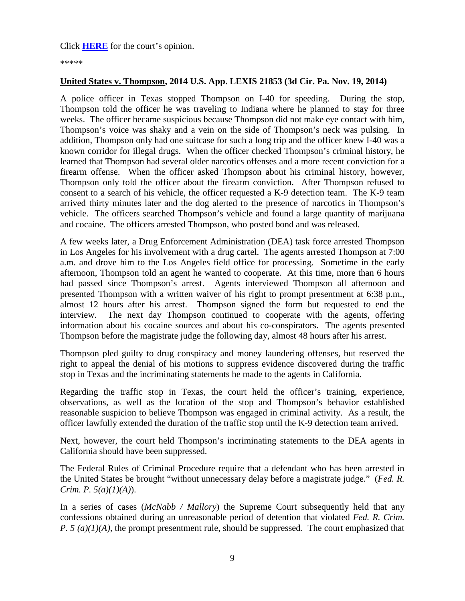\*\*\*\*\*

#### <span id="page-8-0"></span>**United States v. Thompson, 2014 U.S. App. LEXIS 21853 (3d Cir. Pa. Nov. 19, 2014)**

A police officer in Texas stopped Thompson on I-40 for speeding. During the stop, Thompson told the officer he was traveling to Indiana where he planned to stay for three weeks. The officer became suspicious because Thompson did not make eye contact with him, Thompson's voice was shaky and a vein on the side of Thompson's neck was pulsing. In addition, Thompson only had one suitcase for such a long trip and the officer knew I-40 was a known corridor for illegal drugs. When the officer checked Thompson's criminal history, he learned that Thompson had several older narcotics offenses and a more recent conviction for a firearm offense. When the officer asked Thompson about his criminal history, however, Thompson only told the officer about the firearm conviction. After Thompson refused to consent to a search of his vehicle, the officer requested a K-9 detection team. The K-9 team arrived thirty minutes later and the dog alerted to the presence of narcotics in Thompson's vehicle. The officers searched Thompson's vehicle and found a large quantity of marijuana and cocaine. The officers arrested Thompson, who posted bond and was released.

A few weeks later, a Drug Enforcement Administration (DEA) task force arrested Thompson in Los Angeles for his involvement with a drug cartel. The agents arrested Thompson at 7:00 a.m. and drove him to the Los Angeles field office for processing. Sometime in the early afternoon, Thompson told an agent he wanted to cooperate. At this time, more than 6 hours had passed since Thompson's arrest. Agents interviewed Thompson all afternoon and presented Thompson with a written waiver of his right to prompt presentment at 6:38 p.m., almost 12 hours after his arrest. Thompson signed the form but requested to end the interview. The next day Thompson continued to cooperate with the agents, offering information about his cocaine sources and about his co-conspirators. The agents presented Thompson before the magistrate judge the following day, almost 48 hours after his arrest.

Thompson pled guilty to drug conspiracy and money laundering offenses, but reserved the right to appeal the denial of his motions to suppress evidence discovered during the traffic stop in Texas and the incriminating statements he made to the agents in California.

Regarding the traffic stop in Texas, the court held the officer's training, experience, observations, as well as the location of the stop and Thompson's behavior established reasonable suspicion to believe Thompson was engaged in criminal activity. As a result, the officer lawfully extended the duration of the traffic stop until the K-9 detection team arrived.

Next, however, the court held Thompson's incriminating statements to the DEA agents in California should have been suppressed.

The Federal Rules of Criminal Procedure require that a defendant who has been arrested in the United States be brought "without unnecessary delay before a magistrate judge." (*Fed. R. Crim. P. 5(a)(1)(A)*).

In a series of cases (*McNabb / Mallory*) the Supreme Court subsequently held that any confessions obtained during an unreasonable period of detention that violated *Fed. R. Crim. P. 5 (a)(1)(A)*, the prompt presentment rule, should be suppressed. The court emphasized that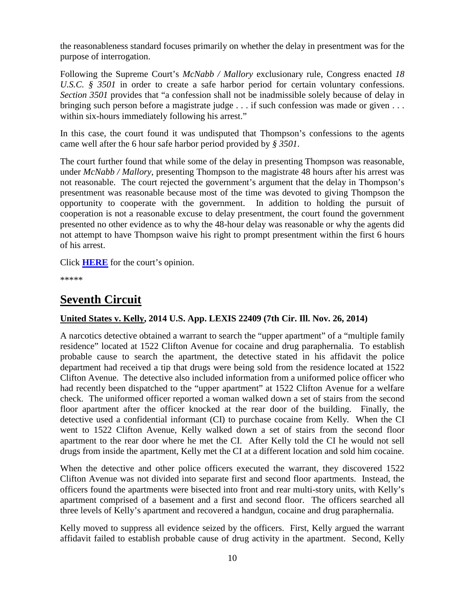the reasonableness standard focuses primarily on whether the delay in presentment was for the purpose of interrogation.

Following the Supreme Court's *McNabb / Mallory* exclusionary rule, Congress enacted *18 U.S.C. § 3501* in order to create a safe harbor period for certain voluntary confessions. *Section 3501* provides that "a confession shall not be inadmissible solely because of delay in bringing such person before a magistrate judge . . . if such confession was made or given . . . within six-hours immediately following his arrest."

In this case, the court found it was undisputed that Thompson's confessions to the agents came well after the 6 hour safe harbor period provided by *§ 3501*.

The court further found that while some of the delay in presenting Thompson was reasonable, under *McNabb / Mallory*, presenting Thompson to the magistrate 48 hours after his arrest was not reasonable. The court rejected the government's argument that the delay in Thompson's presentment was reasonable because most of the time was devoted to giving Thompson the opportunity to cooperate with the government. In addition to holding the pursuit of cooperation is not a reasonable excuse to delay presentment, the court found the government presented no other evidence as to why the 48-hour delay was reasonable or why the agents did not attempt to have Thompson waive his right to prompt presentment within the first 6 hours of his arrest.

Click **[HERE](http://cases.justia.com/federal/appellate-courts/ca3/13-1874/13-1874-2014-11-19.pdf?ts=1416418207)** for the court's opinion.

\*\*\*\*\*

## **Seventh Circuit**

## <span id="page-9-0"></span>**United States v. Kelly, 2014 U.S. App. LEXIS 22409 (7th Cir. Ill. Nov. 26, 2014)**

A narcotics detective obtained a warrant to search the "upper apartment" of a "multiple family residence" located at 1522 Clifton Avenue for cocaine and drug paraphernalia. To establish probable cause to search the apartment, the detective stated in his affidavit the police department had received a tip that drugs were being sold from the residence located at 1522 Clifton Avenue. The detective also included information from a uniformed police officer who had recently been dispatched to the "upper apartment" at 1522 Clifton Avenue for a welfare check. The uniformed officer reported a woman walked down a set of stairs from the second floor apartment after the officer knocked at the rear door of the building. Finally, the detective used a confidential informant (CI) to purchase cocaine from Kelly. When the CI went to 1522 Clifton Avenue, Kelly walked down a set of stairs from the second floor apartment to the rear door where he met the CI. After Kelly told the CI he would not sell drugs from inside the apartment, Kelly met the CI at a different location and sold him cocaine.

When the detective and other police officers executed the warrant, they discovered 1522 Clifton Avenue was not divided into separate first and second floor apartments. Instead, the officers found the apartments were bisected into front and rear multi-story units, with Kelly's apartment comprised of a basement and a first and second floor. The officers searched all three levels of Kelly's apartment and recovered a handgun, cocaine and drug paraphernalia.

Kelly moved to suppress all evidence seized by the officers. First, Kelly argued the warrant affidavit failed to establish probable cause of drug activity in the apartment. Second, Kelly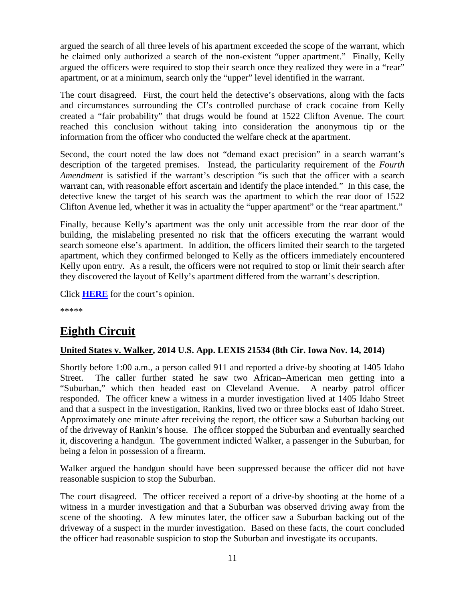argued the search of all three levels of his apartment exceeded the scope of the warrant, which he claimed only authorized a search of the non-existent "upper apartment." Finally, Kelly argued the officers were required to stop their search once they realized they were in a "rear" apartment, or at a minimum, search only the "upper" level identified in the warrant.

The court disagreed. First, the court held the detective's observations, along with the facts and circumstances surrounding the CI's controlled purchase of crack cocaine from Kelly created a "fair probability" that drugs would be found at 1522 Clifton Avenue. The court reached this conclusion without taking into consideration the anonymous tip or the information from the officer who conducted the welfare check at the apartment.

Second, the court noted the law does not "demand exact precision" in a search warrant's description of the targeted premises. Instead, the particularity requirement of the *Fourth Amendment* is satisfied if the warrant's description "is such that the officer with a search warrant can, with reasonable effort ascertain and identify the place intended." In this case, the detective knew the target of his search was the apartment to which the rear door of 1522 Clifton Avenue led, whether it was in actuality the "upper apartment" or the "rear apartment."

Finally, because Kelly's apartment was the only unit accessible from the rear door of the building, the mislabeling presented no risk that the officers executing the warrant would search someone else's apartment. In addition, the officers limited their search to the targeted apartment, which they confirmed belonged to Kelly as the officers immediately encountered Kelly upon entry. As a result, the officers were not required to stop or limit their search after they discovered the layout of Kelly's apartment differed from the warrant's description.

Click **[HERE](http://cases.justia.com/federal/appellate-courts/ca7/14-1015/14-1015-2014-11-26.pdf?ts=1417023073)** for the court's opinion.

\*\*\*\*\*

## <span id="page-10-0"></span>**Eighth Circuit**

## <span id="page-10-1"></span>**United States v. Walker, 2014 U.S. App. LEXIS 21534 (8th Cir. Iowa Nov. 14, 2014)**

Shortly before 1:00 a.m., a person called 911 and reported a drive-by shooting at 1405 Idaho Street. The caller further stated he saw two African–American men getting into a "Suburban," which then headed east on Cleveland Avenue. A nearby patrol officer responded. The officer knew a witness in a murder investigation lived at 1405 Idaho Street and that a suspect in the investigation, Rankins, lived two or three blocks east of Idaho Street. Approximately one minute after receiving the report, the officer saw a Suburban backing out of the driveway of Rankin's house. The officer stopped the Suburban and eventually searched it, discovering a handgun. The government indicted Walker, a passenger in the Suburban, for being a felon in possession of a firearm.

Walker argued the handgun should have been suppressed because the officer did not have reasonable suspicion to stop the Suburban.

The court disagreed. The officer received a report of a drive-by shooting at the home of a witness in a murder investigation and that a Suburban was observed driving away from the scene of the shooting. A few minutes later, the officer saw a Suburban backing out of the driveway of a suspect in the murder investigation. Based on these facts, the court concluded the officer had reasonable suspicion to stop the Suburban and investigate its occupants.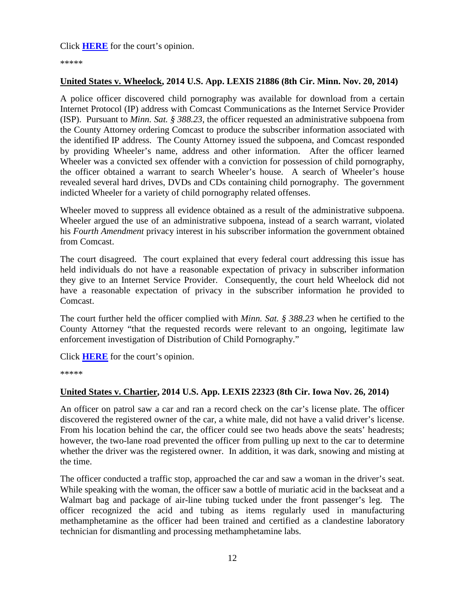Click **[HERE](http://cases.justia.com/federal/appellate-courts/ca8/14-1752/14-1752-2014-11-14.pdf?ts=1415982634)** for the court's opinion.

\*\*\*\*\*

## <span id="page-11-0"></span>**United States v. Wheelock, 2014 U.S. App. LEXIS 21886 (8th Cir. Minn. Nov. 20, 2014)**

A police officer discovered child pornography was available for download from a certain Internet Protocol (IP) address with Comcast Communications as the Internet Service Provider (ISP). Pursuant to *Minn. Sat. § 388.23*, the officer requested an administrative subpoena from the County Attorney ordering Comcast to produce the subscriber information associated with the identified IP address. The County Attorney issued the subpoena, and Comcast responded by providing Wheeler's name, address and other information. After the officer learned Wheeler was a convicted sex offender with a conviction for possession of child pornography, the officer obtained a warrant to search Wheeler's house. A search of Wheeler's house revealed several hard drives, DVDs and CDs containing child pornography. The government indicted Wheeler for a variety of child pornography related offenses.

Wheeler moved to suppress all evidence obtained as a result of the administrative subpoena. Wheeler argued the use of an administrative subpoena, instead of a search warrant, violated his *Fourth Amendment* privacy interest in his subscriber information the government obtained from Comcast.

The court disagreed. The court explained that every federal court addressing this issue has held individuals do not have a reasonable expectation of privacy in subscriber information they give to an Internet Service Provider. Consequently, the court held Wheelock did not have a reasonable expectation of privacy in the subscriber information he provided to Comcast.

The court further held the officer complied with *Minn. Sat. § 388.23* when he certified to the County Attorney "that the requested records were relevant to an ongoing, legitimate law enforcement investigation of Distribution of Child Pornography."

Click **[HERE](http://cases.justia.com/federal/appellate-courts/ca8/14-1504/14-1504-2014-11-20.pdf?ts=1416499358)** for the court's opinion.

\*\*\*\*\*

## <span id="page-11-1"></span>**United States v. Chartier, 2014 U.S. App. LEXIS 22323 (8th Cir. Iowa Nov. 26, 2014)**

An officer on patrol saw a car and ran a record check on the car's license plate. The officer discovered the registered owner of the car, a white male, did not have a valid driver's license. From his location behind the car, the officer could see two heads above the seats' headrests; however, the two-lane road prevented the officer from pulling up next to the car to determine whether the driver was the registered owner. In addition, it was dark, snowing and misting at the time.

The officer conducted a traffic stop, approached the car and saw a woman in the driver's seat. While speaking with the woman, the officer saw a bottle of muriatic acid in the backseat and a Walmart bag and package of air-line tubing tucked under the front passenger's leg. The officer recognized the acid and tubing as items regularly used in manufacturing methamphetamine as the officer had been trained and certified as a clandestine laboratory technician for dismantling and processing methamphetamine labs.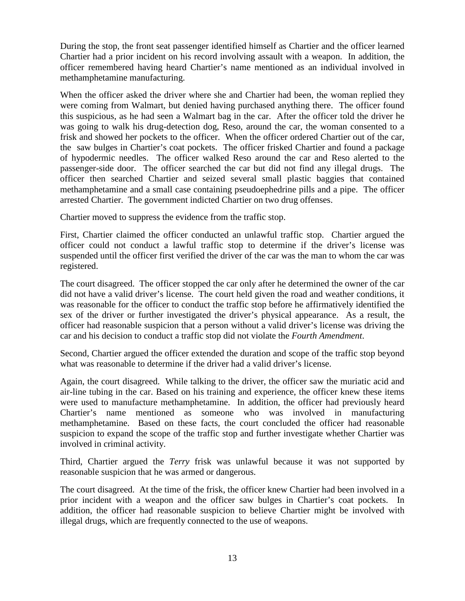During the stop, the front seat passenger identified himself as Chartier and the officer learned Chartier had a prior incident on his record involving assault with a weapon. In addition, the officer remembered having heard Chartier's name mentioned as an individual involved in methamphetamine manufacturing.

When the officer asked the driver where she and Chartier had been, the woman replied they were coming from Walmart, but denied having purchased anything there. The officer found this suspicious, as he had seen a Walmart bag in the car. After the officer told the driver he was going to walk his drug-detection dog, Reso, around the car, the woman consented to a frisk and showed her pockets to the officer. When the officer ordered Chartier out of the car, the saw bulges in Chartier's coat pockets. The officer frisked Chartier and found a package of hypodermic needles. The officer walked Reso around the car and Reso alerted to the passenger-side door. The officer searched the car but did not find any illegal drugs. The officer then searched Chartier and seized several small plastic baggies that contained methamphetamine and a small case containing pseudoephedrine pills and a pipe. The officer arrested Chartier. The government indicted Chartier on two drug offenses.

Chartier moved to suppress the evidence from the traffic stop.

First, Chartier claimed the officer conducted an unlawful traffic stop. Chartier argued the officer could not conduct a lawful traffic stop to determine if the driver's license was suspended until the officer first verified the driver of the car was the man to whom the car was registered.

The court disagreed. The officer stopped the car only after he determined the owner of the car did not have a valid driver's license. The court held given the road and weather conditions, it was reasonable for the officer to conduct the traffic stop before he affirmatively identified the sex of the driver or further investigated the driver's physical appearance. As a result, the officer had reasonable suspicion that a person without a valid driver's license was driving the car and his decision to conduct a traffic stop did not violate the *Fourth Amendment*.

Second, Chartier argued the officer extended the duration and scope of the traffic stop beyond what was reasonable to determine if the driver had a valid driver's license.

Again, the court disagreed. While talking to the driver, the officer saw the muriatic acid and air-line tubing in the car. Based on his training and experience, the officer knew these items were used to manufacture methamphetamine. In addition, the officer had previously heard Chartier's name mentioned as someone who was involved in manufacturing methamphetamine. Based on these facts, the court concluded the officer had reasonable suspicion to expand the scope of the traffic stop and further investigate whether Chartier was involved in criminal activity.

Third, Chartier argued the *Terry* frisk was unlawful because it was not supported by reasonable suspicion that he was armed or dangerous.

The court disagreed. At the time of the frisk, the officer knew Chartier had been involved in a prior incident with a weapon and the officer saw bulges in Chartier's coat pockets. In addition, the officer had reasonable suspicion to believe Chartier might be involved with illegal drugs, which are frequently connected to the use of weapons.